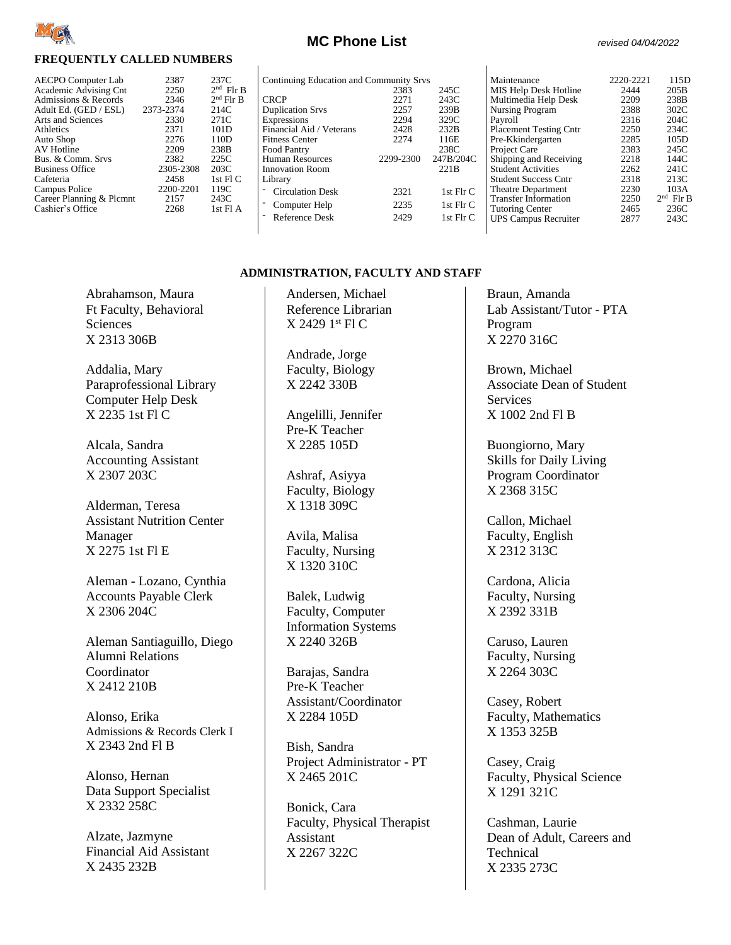

#### **FREQUENTLY CALLED NUMBERS**

| 2387      | 237C             |
|-----------|------------------|
| 2250      | $2nd$ Flr B      |
| 2346      | $2nd$ Flr B      |
| 2373-2374 | 214C             |
| 2330      | 271C             |
| 2371      | 101D             |
| 2276      | 110 <sub>D</sub> |
| 2209      | 238B             |
| 2382      | 225C             |
| 2305-2308 | 203C             |
| 2458      | 1st Fl C         |
| 2200-2201 | 119C             |
| 2157      | 243C             |
| 2268      | $1st$ Fl A       |
|           |                  |

|  | Continuing Education and Community Srvs |  |
|--|-----------------------------------------|--|
|  |                                         |  |

| Continuing Education and Community Srvs |           |                  | Maintenance                   | 2220-2221 | 115D        |
|-----------------------------------------|-----------|------------------|-------------------------------|-----------|-------------|
|                                         | 2383      | 245C             | MIS Help Desk Hotline         | 2444      | 205B        |
| <b>CRCP</b>                             | 2271      | 243C             | Multimedia Help Desk          | 2209      | 238B        |
| <b>Duplication Srvs</b>                 | 2257      | 239B             | Nursing Program               | 2388      | 302C        |
| Expressions                             | 2294      | 329C             | Payroll                       | 2316      | 204C        |
| Financial Aid / Veterans                | 2428      | 232B             | <b>Placement Testing Cntr</b> | 2250      | 234C        |
| <b>Fitness Center</b>                   | 2274      | 116E             | Pre-Kkindergarten             | 2285      | 105D        |
| Food Pantry                             |           | 238C             | Project Care                  | 2383      | 245C        |
| Human Resources                         | 2299-2300 | 247B/204C        | Shipping and Receiving        | 2218      | 144C        |
| <b>Innovation Room</b>                  |           | 221 <sub>B</sub> | <b>Student Activities</b>     | 2262      | 241C        |
| Library                                 |           |                  | <b>Student Success Cntr</b>   | 2318      | 213C        |
| - Circulation Desk                      | 2321      | 1st $FlrC$       | <b>Theatre Department</b>     | 2230      | 103A        |
|                                         | 2235      | 1st $FlrC$       | <b>Transfer Information</b>   | 2250      | $2nd$ Flr B |
| - Computer Help                         |           |                  | <b>Tutoring Center</b>        | 2465      | 236C        |
| - Reference Desk                        | 2429      | 1st $FlrC$       | <b>UPS Campus Recruiter</b>   | 2877      | 243C        |
|                                         |           |                  |                               |           |             |

 $\mathsf{l}$ 

#### **ADMINISTRATION, FACULTY AND STAFF**

Abrahamson, Maura Ft Faculty, Behavioral **Sciences** X 2313 306B

Addalia, Mary Paraprofessional Library Computer Help Desk X 2235 1st Fl C

Alcala, Sandra Accounting Assistant X 2307 203C

Alderman, Teresa Assistant Nutrition Center Manager X 2275 1st Fl E

Aleman - Lozano, Cynthia Accounts Payable Clerk X 2306 204C

Aleman Santiaguillo, Diego Alumni Relations Coordinator X 2412 210B

Alonso, Erika Admissions & Records Clerk I X 2343 2nd Fl B

Alonso, Hernan Data Support Specialist X 2332 258C

Alzate, Jazmyne Financial Aid Assistant X 2435 232B

Andersen, Michael Reference Librarian X 2429 1 st Fl C

Andrade, Jorge Faculty, Biology X 2242 330B

Angelilli, Jennifer Pre-K Teacher X 2285 105D

Ashraf, Asiyya Faculty, Biology X 1318 309C

Avila, Malisa Faculty, Nursing X 1320 310C

Balek, Ludwig Faculty, Computer Information Systems X 2240 326B

Barajas, Sandra Pre-K Teacher Assistant/Coordinator X 2284 105D

Bish, Sandra Project Administrator - PT X 2465 201C

Bonick, Cara Faculty, Physical Therapist Assistant X 2267 322C

Braun, Amanda Lab Assistant/Tutor - PTA Program X 2270 316C

Brown, Michael Associate Dean of Student **Services** X 1002 2nd Fl B

Buongiorno, Mary Skills for Daily Living Program Coordinator X 2368 315C

Callon, Michael Faculty, English X 2312 313C

Cardona, Alicia Faculty, Nursing X 2392 331B

Caruso, Lauren Faculty, Nursing X 2264 303C

Casey, Robert Faculty, Mathematics X 1353 325B

Casey, Craig Faculty, Physical Science X 1291 321C

Cashman, Laurie Dean of Adult, Careers and Technical X 2335 273C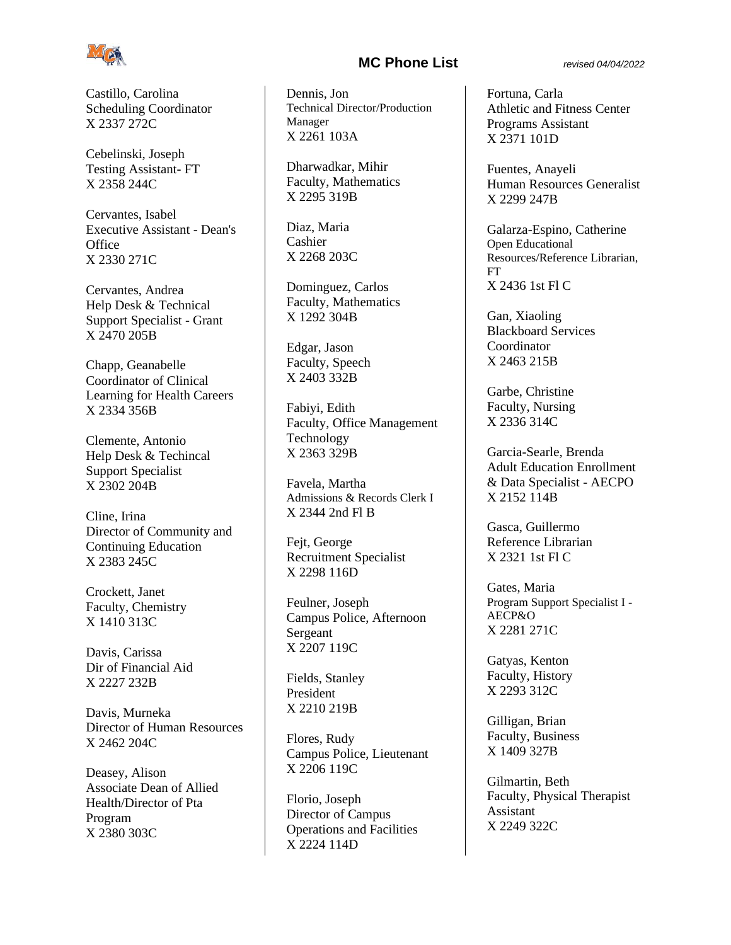

Castillo, Carolina Scheduling Coordinator X 2337 272C

Cebelinski, Joseph Testing Assistant- FT X 2358 244C

Cervantes, Isabel Executive Assistant - Dean's **Office** X 2330 271C

Cervantes, Andrea Help Desk & Technical Support Specialist - Grant X 2470 205B

Chapp, Geanabelle Coordinator of Clinical Learning for Health Careers X 2334 356B

Clemente, Antonio Help Desk & Techincal Support Specialist X 2302 204B

Cline, Irina Director of Community and Continuing Education X 2383 245C

Crockett, Janet Faculty, Chemistry X 1410 313C

Davis, Carissa Dir of Financial Aid X 2227 232B

Davis, Murneka Director of Human Resources X 2462 204C

Deasey, Alison Associate Dean of Allied Health/Director of Pta Program X 2380 303C

# **MC Phone List** *revised 04/04/2022*

Dennis, Jon Technical Director/Production Manager X 2261 103A

Dharwadkar, Mihir Faculty, Mathematics X 2295 319B

Diaz, Maria Cashier X 2268 203C

Dominguez, Carlos Faculty, Mathematics X 1292 304B

Edgar, Jason Faculty, Speech X 2403 332B

Fabiyi, Edith Faculty, Office Management Technology X 2363 329B

Favela, Martha Admissions & Records Clerk I X 2344 2nd Fl B

Fejt, George Recruitment Specialist X 2298 116D

Feulner, Joseph Campus Police, Afternoon **Sergeant** X 2207 119C

Fields, Stanley President X 2210 219B

Flores, Rudy Campus Police, Lieutenant X 2206 119C

Florio, Joseph Director of Campus Operations and Facilities X 2224 114D

Fortuna, Carla Athletic and Fitness Center Programs Assistant X 2371 101D

Fuentes, Anayeli Human Resources Generalist X 2299 247B

Galarza-Espino, Catherine Open Educational Resources/Reference Librarian, FT X 2436 1st Fl C

Gan, Xiaoling Blackboard Services Coordinator X 2463 215B

Garbe, Christine Faculty, Nursing X 2336 314C

Garcia-Searle, Brenda Adult Education Enrollment & Data Specialist - AECPO X 2152 114B

Gasca, Guillermo Reference Librarian X 2321 1st Fl C

Gates, Maria Program Support Specialist I - AECP&O X 2281 271C

Gatyas, Kenton Faculty, History X 2293 312C

Gilligan, Brian Faculty, Business X 1409 327B

Gilmartin, Beth Faculty, Physical Therapist Assistant X 2249 322C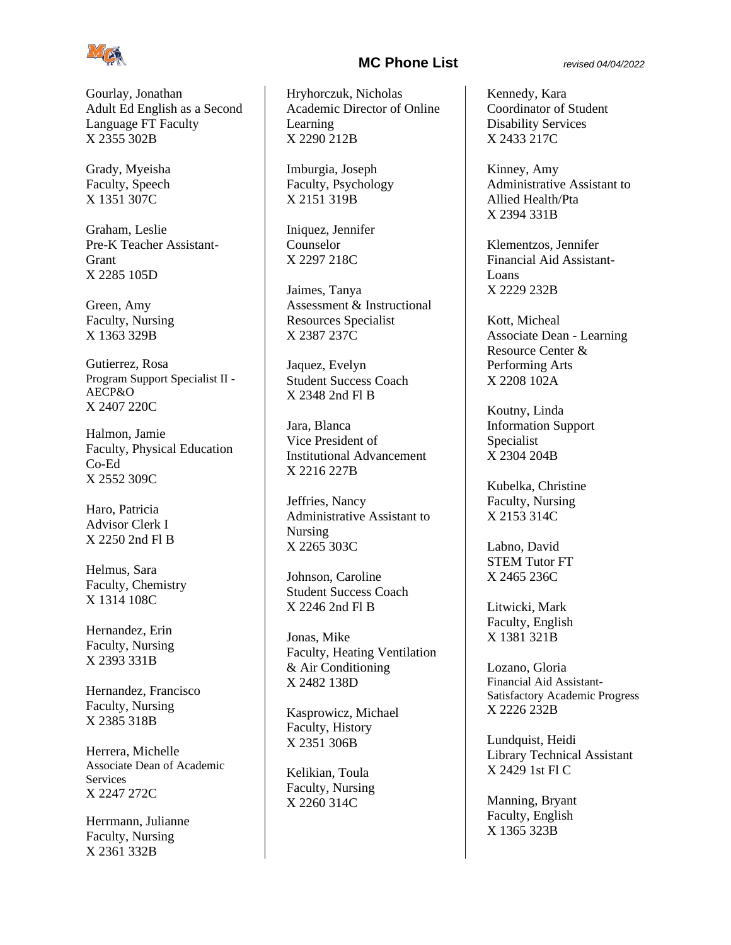

Gourlay, Jonathan Adult Ed English as a Second Language FT Faculty X 2355 302B

Grady, Myeisha Faculty, Speech X 1351 307C

Graham, Leslie Pre-K Teacher Assistant-Grant X 2285 105D

Green, Amy Faculty, Nursing X 1363 329B

Gutierrez, Rosa Program Support Specialist II - AECP&O X 2407 220C

Halmon, Jamie Faculty, Physical Education Co-Ed X 2552 309C

Haro, Patricia Advisor Clerk I X 2250 2nd Fl B

Helmus, Sara Faculty, Chemistry X 1314 108C

Hernandez, Erin Faculty, Nursing X 2393 331B

Hernandez, Francisco Faculty, Nursing X 2385 318B

Herrera, Michelle Associate Dean of Academic **Services** X 2247 272C

Herrmann, Julianne Faculty, Nursing X 2361 332B

### **MC Phone List** *revised 04/04/2022*

Hryhorczuk, Nicholas Academic Director of Online Learning X 2290 212B

Imburgia, Joseph Faculty, Psychology X 2151 319B

Iniquez, Jennifer Counselor X 2297 218C

Jaimes, Tanya Assessment & Instructional Resources Specialist X 2387 237C

Jaquez, Evelyn Student Success Coach X 2348 2nd Fl B

Jara, Blanca Vice President of Institutional Advancement X 2216 227B

Jeffries, Nancy Administrative Assistant to Nursing X 2265 303C

Johnson, Caroline Student Success Coach X 2246 2nd Fl B

Jonas, Mike Faculty, Heating Ventilation & Air Conditioning X 2482 138D

Kasprowicz, Michael Faculty, History X 2351 306B

Kelikian, Toula Faculty, Nursing X 2260 314C

Kennedy, Kara Coordinator of Student Disability Services X 2433 217C

Kinney, Amy Administrative Assistant to Allied Health/Pta X 2394 331B

Klementzos, Jennifer Financial Aid Assistant-Loans X 2229 232B

Kott, Micheal Associate Dean - Learning Resource Center & Performing Arts X 2208 102A

Koutny, Linda Information Support Specialist X 2304 204B

Kubelka, Christine Faculty, Nursing X 2153 314C

Labno, David STEM Tutor FT X 2465 236C

Litwicki, Mark Faculty, English X 1381 321B

Lozano, Gloria Financial Aid Assistant-Satisfactory Academic Progress X 2226 232B

Lundquist, Heidi Library Technical Assistant X 2429 1st Fl C

Manning, Bryant Faculty, English X 1365 323B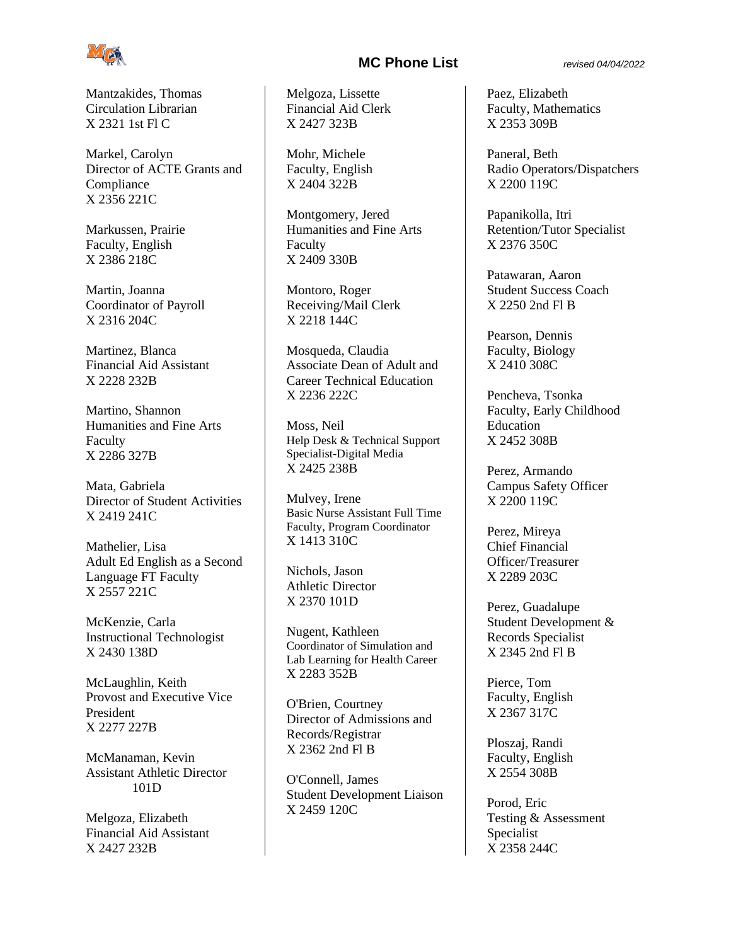

Mantzakides, Thomas Circulation Librarian X 2321 1st Fl C

Markel, Carolyn Director of ACTE Grants and Compliance X 2356 221C

Markussen, Prairie Faculty, English X 2386 218C

Martin, Joanna Coordinator of Payroll X 2316 204C

Martinez, Blanca Financial Aid Assistant X 2228 232B

Martino, Shannon Humanities and Fine Arts Faculty X 2286 327B

Mata, Gabriela Director of Student Activities X 2419 241C

Mathelier, Lisa Adult Ed English as a Second Language FT Faculty X 2557 221C

McKenzie, Carla Instructional Technologist X 2430 138D

McLaughlin, Keith Provost and Executive Vice President X 2277 227B

McManaman, Kevin Assistant Athletic Director 101D

Melgoza, Elizabeth Financial Aid Assistant X 2427 232B

# **MC Phone List** *revised 04/04/2022*

Melgoza, Lissette Financial Aid Clerk X 2427 323B

Mohr, Michele Faculty, English X 2404 322B

Montgomery, Jered Humanities and Fine Arts Faculty X 2409 330B

Montoro, Roger Receiving/Mail Clerk X 2218 144C

Mosqueda, Claudia Associate Dean of Adult and Career Technical Education X 2236 222C

Moss, Neil Help Desk & Technical Support Specialist-Digital Media X 2425 238B

Mulvey, Irene Basic Nurse Assistant Full Time Faculty, Program Coordinator X 1413 310C

Nichols, Jason Athletic Director X 2370 101D

Nugent, Kathleen Coordinator of Simulation and Lab Learning for Health Career X 2283 352B

O'Brien, Courtney Director of Admissions and Records/Registrar X 2362 2nd Fl B

O'Connell, James Student Development Liaison X 2459 120C

Paez, Elizabeth Faculty, Mathematics X 2353 309B

Paneral, Beth Radio Operators/Dispatchers X 2200 119C

Papanikolla, Itri Retention/Tutor Specialist X 2376 350C

Patawaran, Aaron Student Success Coach X 2250 2nd Fl B

Pearson, Dennis Faculty, Biology X 2410 308C

Pencheva, Tsonka Faculty, Early Childhood Education X 2452 308B

Perez, Armando Campus Safety Officer X 2200 119C

Perez, Mireya Chief Financial Officer/Treasurer X 2289 203C

Perez, Guadalupe Student Development & Records Specialist X 2345 2nd Fl B

Pierce, Tom Faculty, English X 2367 317C

Ploszaj, Randi Faculty, English X 2554 308B

Porod, Eric Testing & Assessment Specialist X 2358 244C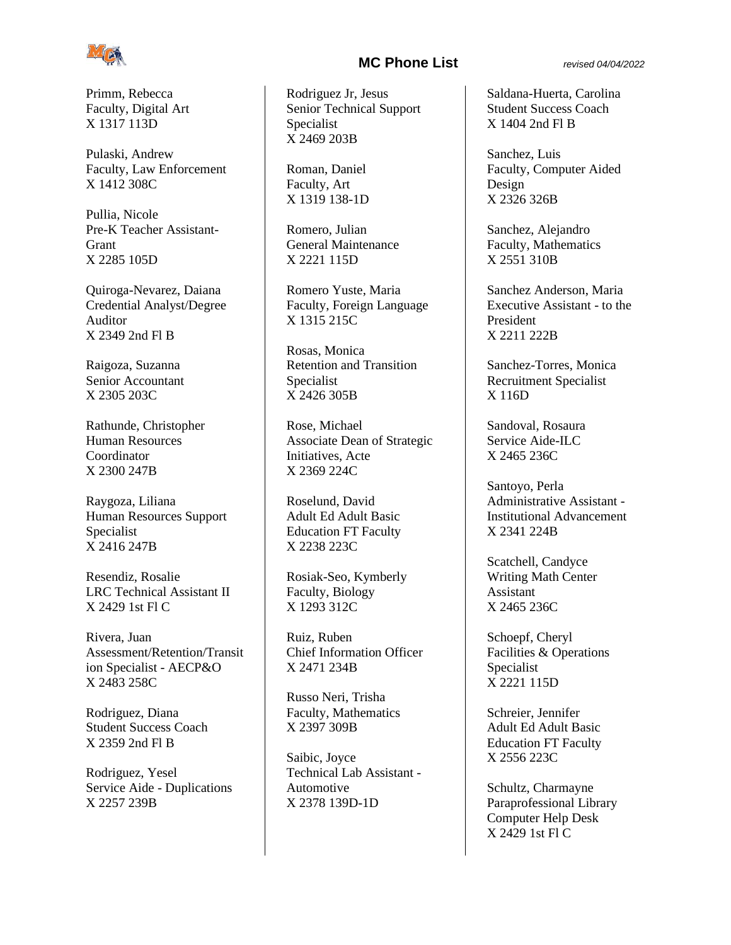

Primm, Rebecca Faculty, Digital Art X 1317 113D

Pulaski, Andrew Faculty, Law Enforcement X 1412 308C

Pullia, Nicole Pre-K Teacher Assistant-Grant X 2285 105D

Quiroga-Nevarez, Daiana Credential Analyst/Degree Auditor X 2349 2nd Fl B

Raigoza, Suzanna Senior Accountant X 2305 203C

Rathunde, Christopher Human Resources Coordinator X 2300 247B

Raygoza, Liliana Human Resources Support Specialist X 2416 247B

Resendiz, Rosalie LRC Technical Assistant II X 2429 1st Fl C

Rivera, Juan Assessment/Retention/Transit ion Specialist - AECP&O X 2483 258C

Rodriguez, Diana Student Success Coach X 2359 2nd Fl B

Rodriguez, Yesel Service Aide - Duplications X 2257 239B

## **MC Phone List** *revised 04/04/2022*

Rodriguez Jr, Jesus Senior Technical Support Specialist X 2469 203B

Roman, Daniel Faculty, Art X 1319 138-1D

Romero, Julian General Maintenance X 2221 115D

Romero Yuste, Maria Faculty, Foreign Language X 1315 215C

Rosas, Monica Retention and Transition Specialist X 2426 305B

Rose, Michael Associate Dean of Strategic Initiatives, Acte X 2369 224C

Roselund, David Adult Ed Adult Basic Education FT Faculty X 2238 223C

Rosiak-Seo, Kymberly Faculty, Biology X 1293 312C

Ruiz, Ruben Chief Information Officer X 2471 234B

Russo Neri, Trisha Faculty, Mathematics X 2397 309B

Saibic, Joyce Technical Lab Assistant - Automotive X 2378 139D-1D

Saldana-Huerta, Carolina Student Success Coach X 1404 2nd Fl B

Sanchez, Luis Faculty, Computer Aided Design X 2326 326B

Sanchez, Alejandro Faculty, Mathematics X 2551 310B

Sanchez Anderson, Maria Executive Assistant - to the President X 2211 222B

Sanchez-Torres, Monica Recruitment Specialist X 116D

Sandoval, Rosaura Service Aide-ILC X 2465 236C

Santoyo, Perla Administrative Assistant - Institutional Advancement X 2341 224B

Scatchell, Candyce Writing Math Center Assistant X 2465 236C

Schoepf, Cheryl Facilities & Operations Specialist X 2221 115D

Schreier, Jennifer Adult Ed Adult Basic Education FT Faculty X 2556 223C

Schultz, Charmayne Paraprofessional Library Computer Help Desk X 2429 1st Fl C